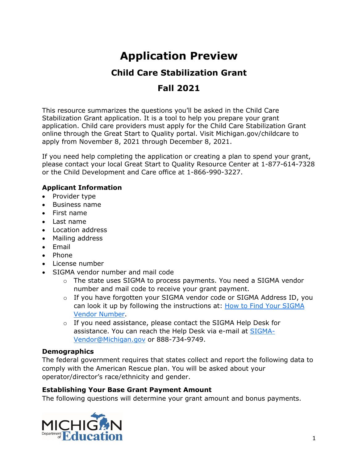# **Application Preview**

# **Child Care Stabilization Grant**

# **Fall 2021**

This resource summarizes the questions you'll be asked in the Child Care Stabilization Grant application. It is a tool to help you prepare your grant application. Child care providers must apply for the Child Care Stabilization Grant online through the Great Start to Quality portal. Visit Michigan.gov/childcare to apply from November 8, 2021 through December 8, 2021.

If you need help completing the application or creating a plan to spend your grant, please contact your local Great Start to Quality Resource Center at 1-877-614-7328 or the Child Development and Care office at 1-866-990-3227.

#### **Applicant Information**

- Provider type
- Business name
- First name
- Last name
- Location address
- Mailing address
- Email
- Phone
- License number
- SIGMA vendor number and mail code
	- $\circ$  The state uses SIGMA to process payments. You need a SIGMA vendor number and mail code to receive your grant payment.
	- $\circ$  If you have forgotten your SIGMA vendor code or SIGMA Address ID, you can look it up by following the instructions at: [How to Find Your SIGMA](https://gcc01.safelinks.protection.outlook.com/?url=https%3A%2F%2Fwww.michigan.gov%2Fdocuments%2Fbudget%2FHow_to_Find_Your_SIGMA_Vendor_Number_688958_7.pdf&data=02%7C01%7CBrewer-WalravenL%40michigan.gov%7Cf021ab0b6f1a46ec6de708d7edfcaa11%7Cd5fb7087377742ad966a892ef47225d1%7C0%7C0%7C637239541741511635&sdata=cxqWRLdWMipBdBtUxRHq9HcS8PcCC3ZLDLQUVE1wVLU%3D&reserved=0)  [Vendor Number.](https://gcc01.safelinks.protection.outlook.com/?url=https%3A%2F%2Fwww.michigan.gov%2Fdocuments%2Fbudget%2FHow_to_Find_Your_SIGMA_Vendor_Number_688958_7.pdf&data=02%7C01%7CBrewer-WalravenL%40michigan.gov%7Cf021ab0b6f1a46ec6de708d7edfcaa11%7Cd5fb7087377742ad966a892ef47225d1%7C0%7C0%7C637239541741511635&sdata=cxqWRLdWMipBdBtUxRHq9HcS8PcCC3ZLDLQUVE1wVLU%3D&reserved=0)
	- o If you need assistance, please contact the SIGMA Help Desk for assistance. You can reach the Help Desk via e-mail at [SIGMA-](mailto:SIGMA-Vendor@Michigan.gov)[Vendor@Michigan.gov](mailto:SIGMA-Vendor@Michigan.gov) or 888-734-9749.

#### **Demographics**

The federal government requires that states collect and report the following data to comply with the American Rescue plan. You will be asked about your operator/director's race/ethnicity and gender.

#### **Establishing Your Base Grant Payment Amount**

The following questions will determine your grant amount and bonus payments.

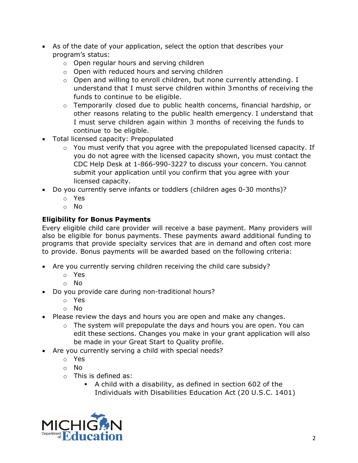- As of the date of your application, select the option that describes your program's status:
	- o Open regular hours and serving children
	- o Open with reduced hours and serving children
	- $\circ$  Open and willing to enroll children, but none currently attending. I understand that I must serve children within 3months of receiving the funds to continue to be eligible.
	- o Temporarily closed due to public health concerns, financial hardship, or other reasons relating to the public health emergency. I understand that I must serve children again within 3 months of receiving the funds to continue to be eligible.
- Total licensed capacity: Prepopulated
	- $\circ$  You must verify that you agree with the prepopulated licensed capacity. If you do not agree with the licensed capacity shown, you must contact the CDC Help Desk at 1-866-990-3227 to discuss your concern. You cannot submit your application until you confirm that you agree with your licensed capacity.
- Do you currently serve infants or toddlers (children ages 0-30 months)?
	- o Yes
	- o No

## **Eligibility for Bonus Payments**

Every eligible child care provider will receive a base payment. Many providers will also be eligible for bonus payments. These payments award additional funding to programs that provide specialty services that are in demand and often cost more to provide. Bonus payments will be awarded based on the following criteria:

- Are you currently serving children receiving the child care subsidy?
	- o Yes
	- o No
- Do you provide care during non-traditional hours?
	- o Yes
	- o No
- Please review the days and hours you are open and make any changes.
	- o The system will prepopulate the days and hours you are open. You can edit these sections. Changes you make in your grant application will also be made in your Great Start to Quality profile.
- Are you currently serving a child with special needs?
	- o Yes
	- o No
	- o This is defined as:
		- A child with a disability, as defined in section 602 of the Individuals with Disabilities Education Act (20 U.S.C. 1401)

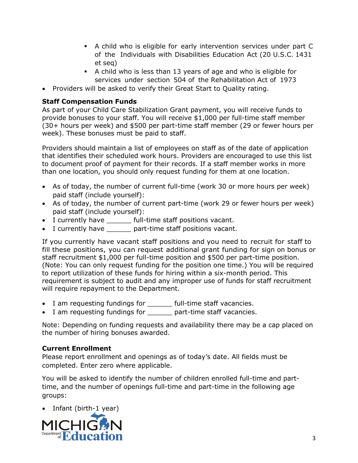- A child who is eligible for early intervention services under part C of the Individuals with Disabilities Education Act (20 U.S.C. 1431 et seq)
- A child who is less than 13 years of age and who is eligible for services under section 504 of the Rehabilitation Act of 1973
- Providers will be asked to verify their Great Start to Quality rating.

### **Staff Compensation Funds**

As part of your Child Care Stabilization Grant payment, you will receive funds to provide bonuses to your staff. You will receive \$1,000 per full-time staff member (30+ hours per week) and \$500 per part-time staff member (29 or fewer hours per week). These bonuses must be paid to staff.

Providers should maintain a list of employees on staff as of the date of application that identifies their scheduled work hours. Providers are encouraged to use this list to document proof of payment for their records. If a staff member works in more than one location, you should only request funding for them at one location.

- As of today, the number of current full-time (work 30 or more hours per week) paid staff (include yourself):
- As of today, the number of current part-time (work 29 or fewer hours per week) paid staff (include yourself):
- I currently have \_\_\_\_\_\_ full-time staff positions vacant.
- I currently have part-time staff positions vacant.

If you currently have vacant staff positions and you need to recruit for staff to fill these positions, you can request additional grant funding for sign on bonus or staff recruitment \$1,000 per full-time position and \$500 per part-time position. (Note: You can only request funding for the position one time.) You will be required to report utilization of these funds for hiring within a six-month period. This requirement is subject to audit and any improper use of funds for staff recruitment will require repayment to the Department.

- I am requesting fundings for \_\_\_\_\_\_ full-time staff vacancies.
- I am requesting fundings for eart-time staff vacancies.

Note: Depending on funding requests and availability there may be a cap placed on the number of hiring bonuses awarded.

#### **Current Enrollment**

Please report enrollment and openings as of today's date. All fields must be completed. Enter zero where applicable.

You will be asked to identify the number of children enrolled full-time and parttime, and the number of openings full-time and part-time in the following age groups:

• Infant (birth-1 year)Department **Rduca**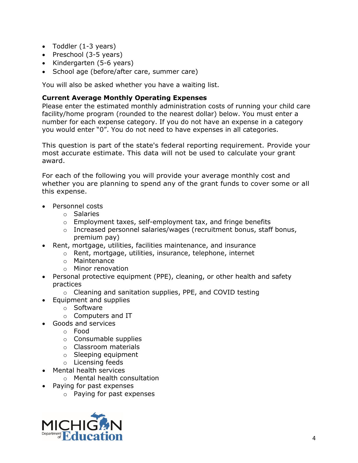- Toddler (1-3 years)
- Preschool (3-5 years)
- Kindergarten (5-6 years)
- School age (before/after care, summer care)

You will also be asked whether you have a waiting list.

#### **Current Average Monthly Operating Expenses**

Please enter the estimated monthly administration costs of running your child care facility/home program (rounded to the nearest dollar) below. You must enter a number for each expense category. If you do not have an expense in a category you would enter "0". You do not need to have expenses in all categories.

This question is part of the state's federal reporting requirement. Provide your most accurate estimate. This data will not be used to calculate your grant award.

For each of the following you will provide your average monthly cost and whether you are planning to spend any of the grant funds to cover some or all this expense.

- Personnel costs
	- o Salaries
	- o Employment taxes, self-employment tax, and fringe benefits
	- $\circ$  Increased personnel salaries/wages (recruitment bonus, staff bonus, premium pay)
- Rent, mortgage, utilities, facilities maintenance, and insurance
	- o Rent, mortgage, utilities, insurance, telephone, internet
	- o Maintenance
	- o Minor renovation
- Personal protective equipment (PPE), cleaning, or other health and safety practices
	- o Cleaning and sanitation supplies, PPE, and COVID testing
- Equipment and supplies
	- o Software
	- o Computers and IT
	- Goods and services
		- o Food
		- o Consumable supplies
		- o Classroom materials
		- o Sleeping equipment
		- o Licensing feeds
- Mental health services
	- o Mental health consultation
- Paying for past expenses
	- o Paying for past expenses

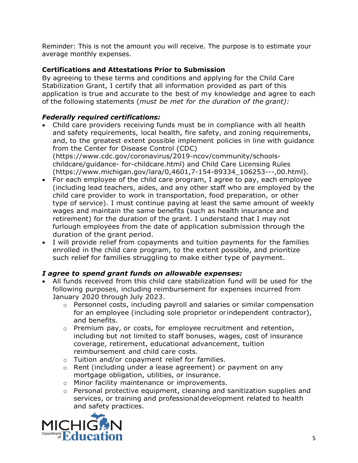Reminder: This is not the amount you will receive. The purpose is to estimate your average monthly expenses.

#### **Certifications and Attestations Prior to Submission**

By agreeing to these terms and conditions and applying for the Child Care Stabilization Grant, I certify that all information provided as part of this application is true and accurate to the best of my knowledge and agree to each of the following statements (*must be met for the duration of the grant):*

#### *Federally required certifications:*

• Child care providers receiving funds must be in compliance with all health and safety requirements, local health, fire safety, and zoning requirements, and, to the greatest extent possible implement policies in line with guidance from the Center for Disease Control (CDC) [\(https://www.cdc.gov/coronavirus/2019-ncov/community/schools](http://www.cdc.gov/coronavirus/2019-ncov/community/schools-childcare/guidance)[childcare/guidance-](http://www.cdc.gov/coronavirus/2019-ncov/community/schools-childcare/guidance) for-childcare.html) and Child Care Licensing Rules

[\(https://www.michigan.gov/lara/0,4601,7-154-89334\\_106253---,00.html\)](http://www.michigan.gov/lara/0%2C4601%2C7-154-89334_106253---%2C00.html)).

- For each employee of the child care program, I agree to pay, each employee (including lead teachers, aides, and any other staff who are employed by the child care provider to work in transportation, food preparation, or other type of service). I must continue paying at least the same amount of weekly wages and maintain the same benefits (such as health insurance and retirement) for the duration of the grant. I understand that I may not furlough employees from the date of application submission through the duration of the grant period.
- I will provide relief from copayments and tuition payments for the families enrolled in the child care program, to the extent possible, and prioritize such relief for families struggling to make either type of payment.

#### *I agree to spend grant funds on allowable expenses:*

- All funds received from this child care stabilization fund will be used for the following purposes, including reimbursement for expenses incurred from January 2020 through July 2023.
	- o Personnel costs, including payroll and salaries or similar compensation for an employee (including sole proprietor or independent contractor), and benefits.
	- $\circ$  Premium pay, or costs, for employee recruitment and retention, including but not limited to staff bonuses, wages, cost of insurance coverage, retirement, educational advancement, tuition reimbursement and child care costs.
	- o Tuition and/or copayment relief for families.
	- $\circ$  Rent (including under a lease agreement) or payment on any mortgage obligation, utilities, or insurance.
	- o Minor facility maintenance or improvements.
	- o Personal protective equipment, cleaning and sanitization supplies and services, or training and professionaldevelopment related to health and safety practices.

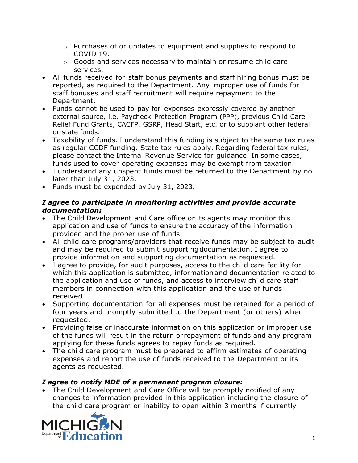- $\circ$  Purchases of or updates to equipment and supplies to respond to COVID 19.
- $\circ$  Goods and services necessary to maintain or resume child care services.
- All funds received for staff bonus payments and staff hiring bonus must be reported, as required to the Department. Any improper use of funds for staff bonuses and staff recruitment will require repayment to the Department.
- Funds cannot be used to pay for expenses expressly covered by another external source, i.e. Paycheck Protection Program (PPP), previous Child Care Relief Fund Grants, CACFP, GSRP, Head Start, etc. or to supplant other federal or state funds.
- Taxability of funds. I understand this funding is subject to the same tax rules as regular CCDF funding. State tax rules apply. Regarding federal tax rules, please contact the Internal Revenue Service for guidance. In some cases, funds used to cover operating expenses may be exempt from taxation.
- I understand any unspent funds must be returned to the Department by no later than July 31, 2023.
- Funds must be expended by July 31, 2023.

#### *I agree to participate in monitoring activities and provide accurate documentation:*

- The Child Development and Care office or its agents may monitor this application and use of funds to ensure the accuracy of the information provided and the proper use of funds.
- All child care programs/providers that receive funds may be subject to audit and may be required to submit supportingdocumentation. I agree to provide information and supporting documentation as requested.
- I agree to provide, for audit purposes, access to the child care facility for which this application is submitted, informationand documentation related to the application and use of funds, and access to interview child care staff members in connection with this application and the use of funds received.
- Supporting documentation for all expenses must be retained for a period of four years and promptly submitted to the Department (or others) when requested.
- Providing false or inaccurate information on this application or improper use of the funds will result in the return or repayment of funds and any program applying for these funds agrees to repay funds as required.
- The child care program must be prepared to affirm estimates of operating expenses and report the use of funds received to the Department or its agents as requested.

### *I agree to notify MDE of a permanent program closure:*

• The Child Development and Care Office will be promptly notified of any changes to information provided in this application including the closure of the child care program or inability to open within 3 months if currently